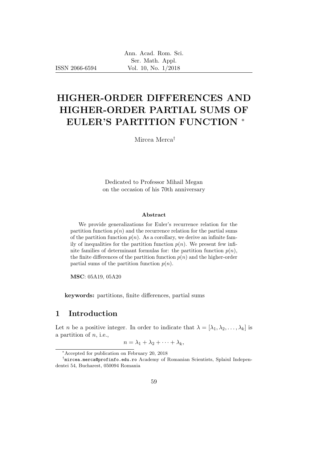ISSN 2066-6594

# HIGHER-ORDER DIFFERENCES AND HIGHER-ORDER PARTIAL SUMS OF EULER'S PARTITION FUNCTION <sup>∗</sup>

Mircea Merca†

Dedicated to Professor Mihail Megan on the occasion of his 70th anniversary

#### Abstract

We provide generalizations for Euler's recurrence relation for the partition function  $p(n)$  and the recurrence relation for the partial sums of the partition function  $p(n)$ . As a corollary, we derive an infinite family of inequalities for the partition function  $p(n)$ . We present few infinite families of determinant formulas for: the partition function  $p(n)$ , the finite differences of the partition function  $p(n)$  and the higher-order partial sums of the partition function  $p(n)$ .

MSC: 05A19, 05A20

keywords: partitions, finite differences, partial sums

#### 1 Introduction

Let n be a positive integer. In order to indicate that  $\lambda = [\lambda_1, \lambda_2, \ldots, \lambda_k]$  is a partition of  $n$ , i.e.,

$$
n=\lambda_1+\lambda_2+\cdots+\lambda_k,
$$

<sup>∗</sup>Accepted for publication on February 20, 2018

<sup>†</sup> mircea.merca@profinfo.edu.ro Academy of Romanian Scientists, Splaiul Independentei 54, Bucharest, 050094 Romania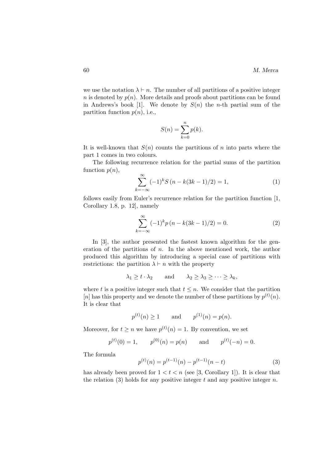we use the notation  $\lambda \vdash n$ . The number of all partitions of a positive integer n is denoted by  $p(n)$ . More details and proofs about partitions can be found in Andrews's book [1]. We denote by  $S(n)$  the *n*-th partial sum of the partition function  $p(n)$ , i.e.,

$$
S(n) = \sum_{k=0}^{n} p(k).
$$

It is well-known that  $S(n)$  counts the partitions of n into parts where the part 1 comes in two colours.

The following recurrence relation for the partial sums of the partition function  $p(n)$ ,

$$
\sum_{k=-\infty}^{\infty} (-1)^k S(n-k(3k-1)/2) = 1,
$$
\n(1)

follows easily from Euler's recurrence relation for the partition function [1, Corollary 1.8, p. 12], namely

$$
\sum_{k=-\infty}^{\infty} (-1)^k p (n - k(3k - 1)/2) = 0.
$$
 (2)

In [3], the author presented the fastest known algorithm for the generation of the partitions of n. In the above mentioned work, the author produced this algorithm by introducing a special case of partitions with restrictions: the partition  $\lambda \vdash n$  with the property

$$
\lambda_1 \geq t \cdot \lambda_2
$$
 and  $\lambda_2 \geq \lambda_3 \geq \cdots \geq \lambda_k$ ,

where t is a positive integer such that  $t \leq n$ . We consider that the partition |n| has this property and we denote the number of these partitions by  $p^{(t)}(n)$ . It is clear that

$$
p^{(t)}(n) \ge 1
$$
 and  $p^{(1)}(n) = p(n)$ .

Moreover, for  $t \geq n$  we have  $p^{(t)}(n) = 1$ . By convention, we set

$$
p^{(t)}(0) = 1,
$$
  $p^{(0)}(n) = p(n)$  and  $p^{(t)}(-n) = 0.$ 

The formula

$$
p^{(t)}(n) = p^{(t-1)}(n) - p^{(t-1)}(n-t)
$$
\n(3)

has already been proved for  $1 < t < n$  (see [3, Corollary 1]). It is clear that the relation (3) holds for any positive integer t and any positive integer n.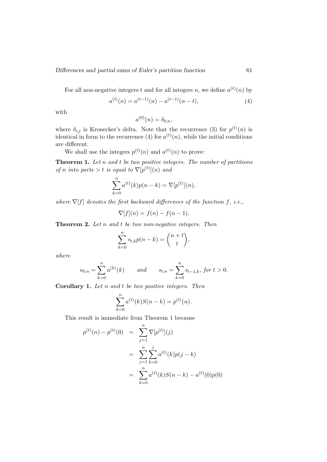For all non-negative integers t and for all integers n, we define  $a^{(t)}(n)$  by

$$
a^{(t)}(n) = a^{(t-1)}(n) - a^{(t-1)}(n-t),
$$
\n(4)

with

$$
a^{(0)}(n) = \delta_{0,n},
$$

where  $\delta_{i,j}$  is Kronecker's delta. Note that the recurrence (3) for  $p^{(t)}(n)$  is identical in form to the recurrence (4) for  $a^{(t)}(n)$ , while the initial conditions are different.

We shall use the integers  $p^{(t)}(n)$  and  $a^{(t)}(n)$  to prove:

**Theorem 1.** Let  $n$  and  $t$  be two positive integers. The number of partitions of n into parts > t is equal to  $\nabla[p^{(t)}](n)$  and

$$
\sum_{k=0}^{n} a^{(t)}(k)p(n-k) = \nabla[p^{(t)}](n),
$$

where  $\nabla[f]$  denotes the first backward differences of the function f, i.e.,

$$
\nabla[f](n) = f(n) - f(n-1).
$$

**Theorem 2.** Let n and t be two non-negative integers. Then

$$
\sum_{k=0}^{n} s_{t,k} p(n-k) = \binom{n+t}{t},
$$

where

$$
s_{0,n} = \sum_{k=0}^{n} a^{(k)}(k)
$$
 and  $s_{t,n} = \sum_{k=0}^{n} s_{t-1,k}$ , for  $t > 0$ .

Corollary 1. Let n and t be two positive integers. Then

$$
\sum_{k=0}^{n} a^{(t)}(k)S(n-k) = p^{(t)}(n).
$$

This result is immediate from Theorem 1 because

$$
p^{(t)}(n) - p^{(t)}(0) = \sum_{j=1}^{n} \nabla [p^{(t)}](j)
$$
  
= 
$$
\sum_{j=1}^{n} \sum_{k=0}^{j} a^{(t)}(k) p(j-k)
$$
  
= 
$$
\sum_{k=0}^{n} a^{(t)}(k) S(n-k) - a^{(t)}(0) p(0)
$$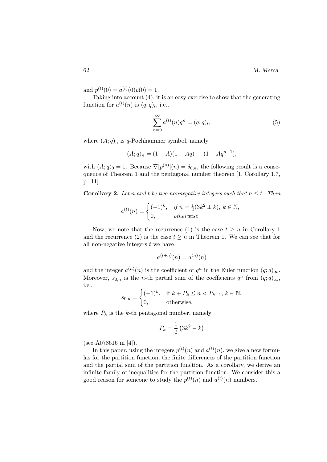and  $p^{(t)}(0) = a^{(t)}(0)p(0) = 1.$ 

Taking into account (4), it is an easy exercise to show that the generating function for  $a^{(t)}(n)$  is  $(q; q)_t$ , i.e.,

$$
\sum_{n=0}^{\infty} a^{(t)}(n)q^n = (q;q)_t,
$$
\n(5)

.

where  $(A; q)_n$  is q-Pochhammer symbol, namely

$$
(A;q)_n = (1-A)(1-Aq)\cdots(1-Aq^{n-1}),
$$

with  $(A; q)_0 = 1$ . Because  $\nabla[p^{(n)}](n) = \delta_{0,n}$ , the following result is a consequence of Theorem 1 and the pentagonal number theorem [1, Corollary 1.7, p. 11].

**Corollary 2.** Let n and t be two nonnegative integers such that  $n \leq t$ . Then

$$
a^{(t)}(n) = \begin{cases} (-1)^k, & \text{if } n = \frac{1}{2}(3k^2 \pm k), \ k \in \mathbb{N}, \\ 0, & \text{otherwise} \end{cases}
$$

Now, we note that the recurrence (1) is the case  $t \geq n$  in Corollary 1 and the recurrence (2) is the case  $t \geq n$  in Theorem 1. We can see that for all non-negative integers  $t$  we have

$$
a^{(t+n)}(n) = a^{(n)}(n)
$$

and the integer  $a^{(n)}(n)$  is the coefficient of  $q^n$  in the Euler function  $(q; q)_{\infty}$ . Moreover,  $s_{0,n}$  is the *n*-th partial sum of the coefficients  $q^n$  from  $(q;q)_{\infty}$ , i.e.,

$$
s_{0,n} = \begin{cases} (-1)^k, & \text{if } k + P_k \le n < P_{k+1}, \ k \in \mathbb{N}, \\ 0, & \text{otherwise}, \end{cases}
$$

where  $P_k$  is the k-th pentagonal number, namely

$$
P_k = \frac{1}{2} \left( 3k^2 - k \right)
$$

(see A078616 in [4]).

In this paper, using the integers  $p^{(t)}(n)$  and  $a^{(t)}(n)$ , we give a new formulas for the partition function, the finite differences of the partition function and the partial sum of the partition function. As a corollary, we derive an infinite family of inequalities for the partition function. We consider this a good reason for someone to study the  $p^{(t)}(n)$  and  $a^{(t)}(n)$  numbers.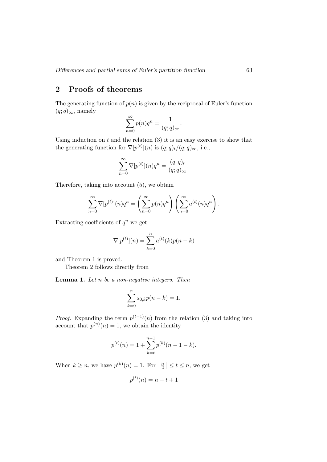## 2 Proofs of theorems

The generating function of  $p(n)$  is given by the reciprocal of Euler's function  $(q; q)_{\infty}$ , namely

$$
\sum_{n=0}^{\infty} p(n)q^n = \frac{1}{(q;q)_{\infty}}.
$$

Using induction on  $t$  and the relation  $(3)$  it is an easy exercise to show that the generating function for  $\nabla[p^{(t)}](n)$  is  $(q; q)_t/(q; q)_{\infty}$ , i.e.,

$$
\sum_{n=0}^{\infty} \nabla [p^{(t)}](n) q^n = \frac{(q;q)_t}{(q;q)_{\infty}}.
$$

Therefore, taking into account (5), we obtain

$$
\sum_{n=0}^{\infty} \nabla [p^{(t)}](n) q^n = \left(\sum_{n=0}^{\infty} p(n) q^n \right) \left(\sum_{n=0}^{\infty} a^{(t)}(n) q^n \right).
$$

Extracting coefficients of  $q^n$  we get

$$
\nabla[p^{(t)}](n) = \sum_{k=0}^{n} a^{(t)}(k)p(n-k)
$$

and Theorem 1 is proved.

Theorem 2 follows directly from

Lemma 1. Let n be a non-negative integers. Then

$$
\sum_{k=0}^{n} s_{0,k} p(n-k) = 1.
$$

*Proof.* Expanding the term  $p^{(t-1)}(n)$  from the relation (3) and taking into account that  $p^{(n)}(n) = 1$ , we obtain the identity

$$
p^{(t)}(n) = 1 + \sum_{k=t}^{n-1} p^{(k)}(n-1-k).
$$

When  $k \geq n$ , we have  $p^{(k)}(n) = 1$ . For  $\frac{\lfloor n \rfloor}{2}$  $\left\lfloor \frac{n}{2} \right\rfloor \leq t \leq n$ , we get

 $p^{(t)}(n) = n - t + 1$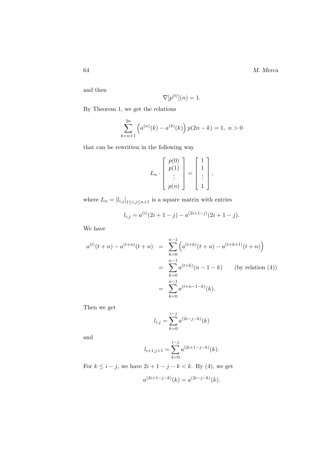and then

$$
\nabla[p^{(t)}](n) = 1.
$$

By Theorem 1, we get the relations

$$
\sum_{k=n+1}^{2n} \left( a^{(n)}(k) - a^{(k)}(k) \right) p(2n - k) = 1, \ n > 0
$$

that can be rewritten in the following way

$$
L_n \cdot \left[ \begin{array}{c} p(0) \\ p(1) \\ \vdots \\ p(n) \end{array} \right] = \left[ \begin{array}{c} 1 \\ 1 \\ \vdots \\ 1 \end{array} \right],
$$

where  $L_n = [l_{i,j}]_{1 \le i,j \le n+1}$  is a square matrix with entries

$$
l_{i,j} = a^{(i)}(2i + 1 - j) - a^{(2i+1-j)}(2i + 1 - j).
$$

We have

$$
a^{(t)}(t+n) - a^{(t+n)}(t+n) = \sum_{k=0}^{n-1} \left( a^{(t+k)}(t+n) - a^{(t+k+1)}(t+n) \right)
$$
  
= 
$$
\sum_{k=0}^{n-1} a^{(t+k)}(n-1-k)
$$
 (by relation (4))  
= 
$$
\sum_{k=0}^{n-1} a^{(t+n-1-k)}(k).
$$

Then we get

$$
l_{i,j} = \sum_{k=0}^{i-j} a^{(2i-j-k)}(k)
$$

and

$$
l_{i+1,j+1} = \sum_{k=0}^{i-j} a^{(2i+1-j-k)}(k).
$$

For  $k \le i - j$ , we have  $2i + 1 - j - k < k$ . By (4), we get

$$
a^{(2i+1-j-k)}(k) = a^{(2i-j-k)}(k).
$$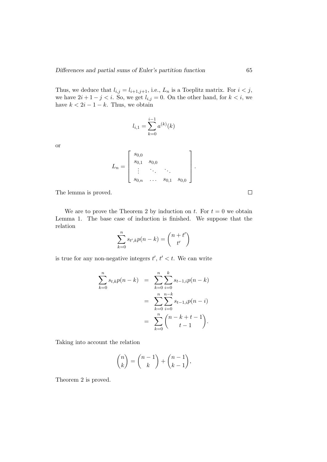Thus, we deduce that  $l_{i,j} = l_{i+1,j+1}$ , i.e.,  $L_n$  is a Toeplitz matrix. For  $i < j$ , we have  $2i + 1 - j < i$ . So, we get  $l_{i,j} = 0$ . On the other hand, for  $k < i$ , we have  $k < 2i - 1 - k$ . Thus, we obtain

$$
l_{i,1} = \sum_{k=0}^{i-1} a^{(k)}(k)
$$

or

$$
L_n = \begin{bmatrix} s_{0,0} & & & \\ s_{0,1} & s_{0,0} & & \\ \vdots & \ddots & \ddots & \\ s_{0,n} & \dots & s_{0,1} & s_{0,0} \end{bmatrix}.
$$

The lemma is proved.

We are to prove the Theorem 2 by induction on t. For  $t = 0$  we obtain Lemma 1. The base case of induction is finished. We suppose that the relation

$$
\sum_{k=0}^{n} s_{t',k} p(n-k) = \binom{n+t'}{t'}
$$

is true for any non-negative integers  $t', t' < t$ . We can write

$$
\sum_{k=0}^{n} s_{t,k} p(n-k) = \sum_{k=0}^{n} \sum_{i=0}^{k} s_{t-1,i} p(n-k)
$$
  
= 
$$
\sum_{k=0}^{n} \sum_{i=0}^{n-k} s_{t-1,i} p(n-i)
$$
  
= 
$$
\sum_{k=0}^{n} {n-k+t-1 \choose t-1}.
$$

Taking into account the relation

$$
\binom{n}{k} = \binom{n-1}{k} + \binom{n-1}{k-1},
$$

Theorem 2 is proved.

 $\Box$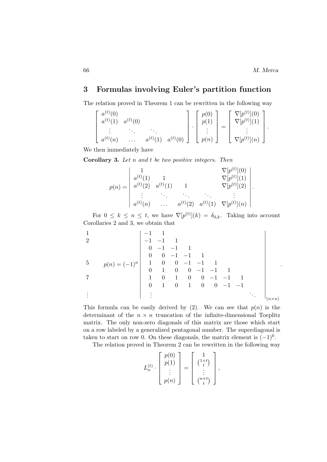.

.

#### 3 Formulas involving Euler's partition function

The relation proved in Theorem 1 can be rewritten in the following way

$$
\begin{bmatrix} a^{(t)}(0) & a^{(t)}(1) & a^{(t)}(0) \\ a^{(t)}(1) & a^{(t)}(0) & \cdots & a^{(t)}(1) & a^{(t)}(0) \end{bmatrix} \cdot \begin{bmatrix} p(0) \\ p(1) \\ \vdots \\ p(n) \end{bmatrix} = \begin{bmatrix} \nabla[p^{(t)}](0) \\ \nabla[p^{(t)}](1) \\ \vdots \\ \nabla[p^{(t)}](n) \end{bmatrix}.
$$

We then immediately have

**Corollary 3.** Let  $n$  and  $t$  be two positive integers. Then

$$
p(n) = \begin{vmatrix} 1 & \nabla[p^{(t)}](0) \\ a^{(t)}(1) & 1 & \nabla[p^{(t)}](1) \\ a^{(t)}(2) & a^{(t)}(1) & 1 & \nabla[p^{(t)}](2) \\ \n\vdots & \vdots & \ddots & \vdots & \vdots \\ a^{(t)}(n) & \cdots & a^{(t)}(2) & a^{(t)}(1) & \nabla[p^{(t)}](n) \end{vmatrix}
$$

For  $0 \leq k \leq n \leq t$ , we have  $\nabla[p^{(t)}](k) = \delta_{0,k}$ . Taking into account Corollaries 2 and 3, we obtain that

1 2 5 7 . . . p(n) = (−1)<sup>n</sup> −1 1 −1 −1 1 0 −1 −1 1 0 0 −1 −1 1 1 0 0 −1 −1 1 0 1 0 0 −1 −1 1 1 0 1 0 0 −1 −1 1 0 1 0 1 0 0 −1 −1 . . . . . . (n×n)

This formula can be easily derived by (2). We can see that  $p(n)$  is the determinant of the  $n \times n$  truncation of the infinite-dimensional Toeplitz matrix. The only non-zero diagonals of this matrix are those which start on a row labeled by a generalized pentagonal number. The superdiagonal is taken to start on row 0. On these diagonals, the matrix element is  $(-1)^k$ .

The relation proved in Theorem 2 can be rewritten in the following way

$$
L_n^{(t)} \cdot \left[ \begin{array}{c} p(0) \\ p(1) \\ \vdots \\ p(n) \end{array} \right] = \left[ \begin{array}{c} 1 \\ \binom{1+t}{t} \\ \vdots \\ \binom{n+t}{t} \end{array} \right],
$$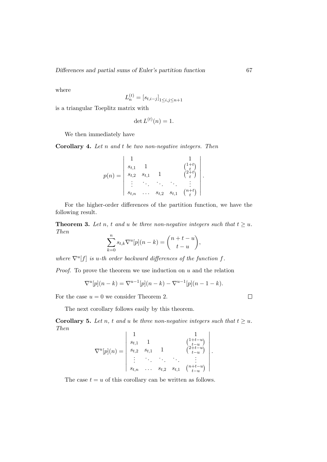where

$$
L_n^{(t)} = [s_{t,i-j}]_{1 \le i,j \le n+1}
$$

is a triangular Toeplitz matrix with

$$
\det L^{(t)}(n) = 1.
$$

We then immediately have

Corollary 4. Let n and t be two non-negative integers. Then

$$
p(n) = \begin{vmatrix} 1 & 1 & 1 \ s_{t,1} & 1 & \binom{1+t}{t} \\ s_{t,2} & s_{t,1} & 1 & \binom{2+t}{t} \\ \vdots & \ddots & \ddots & \ddots & \vdots \\ s_{t,n} & \dots & s_{t,2} & s_{t,1} & \binom{n+t}{t} \end{vmatrix}.
$$

For the higher-order differences of the partition function, we have the following result.

**Theorem 3.** Let n, t and u be three non-negative integers such that  $t \geq u$ . Then

$$
\sum_{k=0}^{n} s_{t,k} \nabla^{u}[p](n-k) = \binom{n+t-u}{t-u},
$$

where  $\nabla^u[f]$  is u-th order backward differences of the function f.

*Proof.* To prove the theorem we use induction on  $u$  and the relation

$$
\nabla^u[p](n-k) = \nabla^{u-1}[p](n-k) - \nabla^{u-1}[p](n-1-k).
$$

For the case  $u = 0$  we consider Theorem 2.

The next corollary follows easily by this theorem.

**Corollary 5.** Let n, t and u be three non-negative integers such that  $t \geq u$ . Then  $\overline{1}$  $\overline{1}$ 

$$
\nabla^{u}[p](n) = \begin{vmatrix}\n1 & 1 & 1 \\
s_{t,1} & 1 & (\frac{1+t-u}{t-u}) \\
s_{t,2} & s_{t,1} & 1 & (\frac{2+t-u}{t-u}) \\
\vdots & \vdots & \ddots & \vdots \\
s_{t,n} & \dots & s_{t,2} & s_{t,1} & (\frac{n+t-u}{t-u})\n\end{vmatrix}.
$$

The case  $t = u$  of this corollary can be written as follows.

 $\Box$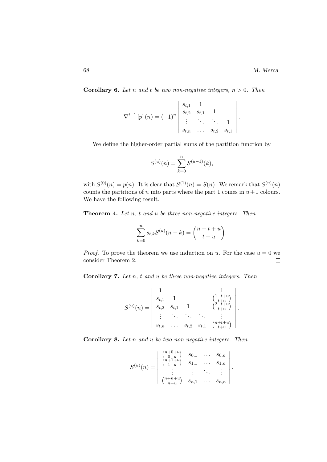**Corollary 6.** Let n and t be two non-negative integers,  $n > 0$ . Then

$$
\nabla^{t+1}[p](n) = (-1)^n \begin{vmatrix} s_{t,1} & 1 & 1 \\ s_{t,2} & s_{t,1} & 1 \\ \vdots & \vdots & \ddots & 1 \\ s_{t,n} & \cdots & s_{t,2} & s_{t,1} \end{vmatrix}.
$$

We define the higher-order partial sums of the partition function by

$$
S^{(u)}(n) = \sum_{k=0}^{n} S^{(u-1)}(k),
$$

with  $S^{(0)}(n) = p(n)$ . It is clear that  $S^{(1)}(n) = S(n)$ . We remark that  $S^{(u)}(n)$ counts the partitions of *n* into parts where the part 1 comes in  $u+1$  colours. We have the following result.

**Theorem 4.** Let  $n$ ,  $t$  and  $u$  be three non-negative integers. Then

$$
\sum_{k=0}^{n} s_{t,k} S^{(u)}(n-k) = \binom{n+t+u}{t+u}.
$$

*Proof.* To prove the theorem we use induction on u. For the case  $u = 0$  we consider Theorem 2.  $\Box$ 

**Corollary 7.** Let  $n$ ,  $t$  and  $u$  be three non-negative integers. Then

$$
S^{(u)}(n) = \begin{vmatrix} 1 & 1 & 1 \ s_{t,1} & 1 & \binom{1+t+u}{t+u} \\ s_{t,2} & s_{t,1} & 1 & \binom{2+t+u}{t+u} \\ \vdots & \ddots & \ddots & \vdots \\ s_{t,n} & \dots & s_{t,2} & s_{t,1} & \binom{n+t+u}{t+u} \end{vmatrix}.
$$

Corollary 8. Let n and u be two non-negative integers. Then

$$
S^{(u)}(n) = \begin{vmatrix} {n+0+u \choose 0+u} & s_{0,1} & \dots & s_{0,n} \\ {n+1+u \choose 1+u} & s_{1,1} & \dots & s_{1,n} \\ \vdots & \vdots & \ddots & \vdots \\ {n+n+u \choose n+u} & s_{n,1} & \dots & s_{n,n} \end{vmatrix}.
$$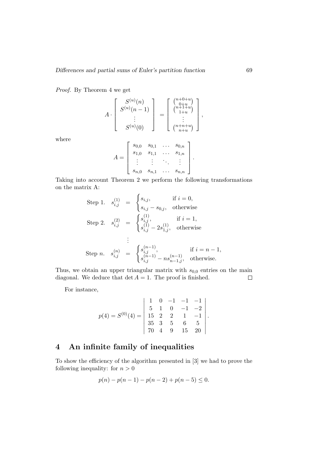Proof. By Theorem 4 we get

$$
A \cdot \begin{bmatrix} S^{(u)}(n) \\ S^{(u)}(n-1) \\ \vdots \\ S^{(u)}(0) \end{bmatrix} = \begin{bmatrix} {n+0+u \choose 0+u} \\ {n+1+u \choose 1+u} \\ \vdots \\ {n+n+u \choose n+u} \end{bmatrix},
$$

where

$$
A = \begin{bmatrix} s_{0,0} & s_{0,1} & \dots & s_{0,n} \\ s_{1,0} & s_{1,1} & \dots & s_{1,n} \\ \vdots & \vdots & \ddots & \vdots \\ s_{n,0} & s_{n,1} & \dots & s_{n,n} \end{bmatrix}.
$$

Taking into account Theorem 2 we perform the following transformations on the matrix A:

Step 1. 
$$
s_{i,j}^{(1)} = \begin{cases} s_{i,j}, & \text{if } i = 0, \\ s_{i,j} - s_{0,j}, & \text{otherwise} \end{cases}
$$
  
\nStep 2.  $s_{i,j}^{(2)} = \begin{cases} s_{i,j}^{(1)}, & \text{if } i = 1, \\ s_{i,j}^{(1)} - 2s_{1,j}^{(1)}, & \text{otherwise} \end{cases}$   
\n $\vdots$   
\nStep n.  $s_{i,j}^{(n)} = \begin{cases} s_{i,j}^{(n-1)}, & \text{if } i = n-1, \\ s_{i,j}^{(n-1)} - ns_{n-1,j}^{(n-1)}, & \text{otherwise.} \end{cases}$ 

Thus, we obtain an upper triangular matrix with  $s_{0,0}$  entries on the main diagonal. We deduce that  $\det A = 1$ . The proof is finished.  $\Box$ 

For instance,

$$
p(4) = S^{(0)}(4) = \begin{vmatrix} 1 & 0 & -1 & -1 & -1 \\ 5 & 1 & 0 & -1 & -2 \\ 15 & 2 & 2 & 1 & -1 \\ 35 & 3 & 5 & 6 & 5 \\ 70 & 4 & 9 & 15 & 20 \end{vmatrix}.
$$

# 4 An infinite family of inequalities

To show the efficiency of the algorithm presented in [3] we had to prove the following inequality: for  $n > 0$ 

$$
p(n) - p(n-1) - p(n-2) + p(n-5) \le 0.
$$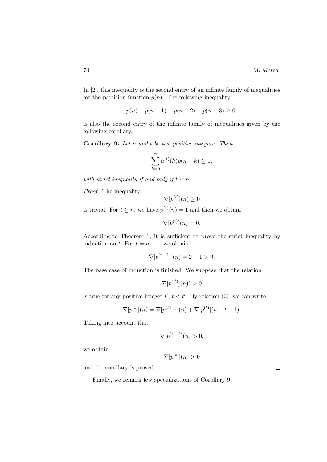In [2], this inequality is the second entry of an infinite family of inequalities for the partition function  $p(n)$ . The following inequality

$$
p(n) - p(n-1) - p(n-2) + p(n-3) \ge 0
$$

is also the second entry of the infinite family of inequalities given by the following corollary.

Corollary 9. Let n and t be two positive integers. Then

$$
\sum_{k=0}^{n} a^{(t)}(k)p(n-k) \ge 0,
$$

with strict inequality if and only if  $t < n$ .

Proof. The inequality

$$
\nabla[p^{(t)}](n) \ge 0
$$

is trivial. For  $t \geq n$ , we have  $p^{(t)}(n) = 1$  and then we obtain

$$
\nabla[p^{(t)}](n) = 0.
$$

According to Theorem 1, it is sufficient to prove the strict inequality by induction on t. For  $t = n - 1$ , we obtain

$$
\nabla[p^{(n-1)}](n) = 2 - 1 > 0.
$$

The base case of induction is finished. We suppose that the relation

$$
\nabla[p^{(t')}](n)) > 0
$$

is true for any positive integer  $t', t < t'$ . By relation (3), we can write

$$
\nabla[p^{(t)}](n) = \nabla[p^{(t+1)}](n) + \nabla[p^{(t)}](n-t-1).
$$

Taking into account that

$$
\nabla[p^{(t+1)}](n) > 0,
$$

we obtain

 $\nabla[p^{(t)}](n) > 0$ 

and the corollary is proved.

Finally, we remark few specializations of Corollary 9:

 $\Box$